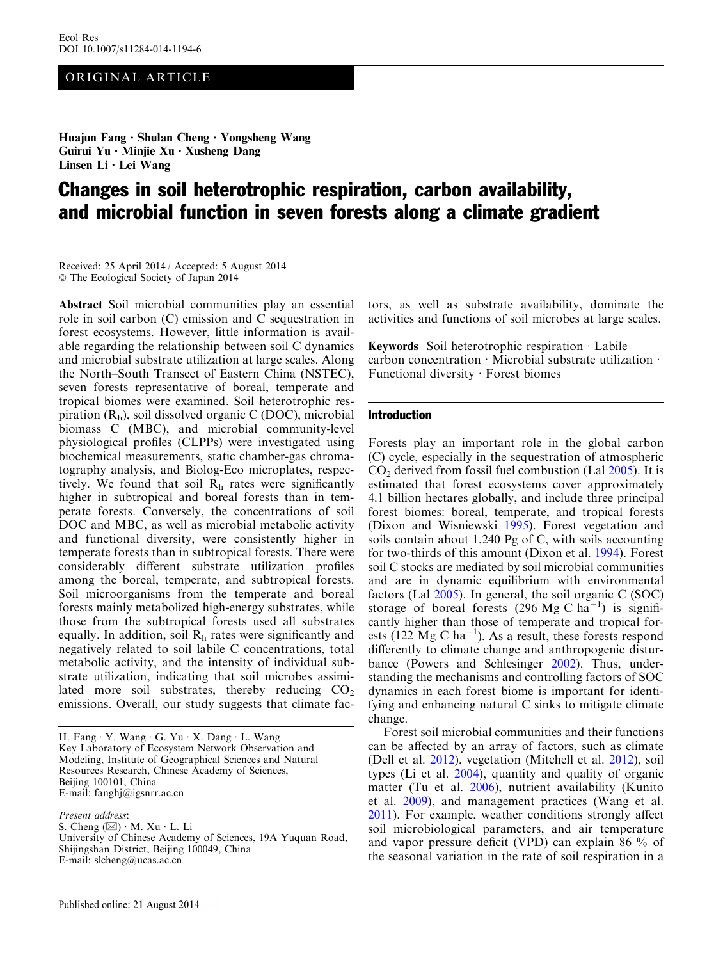# ORIGINAL ARTICLE

Huajun Fang • Shulan Cheng • Yongsheng Wang Guirui Yu • Minjie Xu • Xusheng Dang Linsen Li • Lei Wang

# Changes in soil heterotrophic respiration, carbon availability, and microbial function in seven forests along a climate gradient

Received: 25 April 2014 / Accepted: 5 August 2014 - The Ecological Society of Japan 2014

Abstract Soil microbial communities play an essential role in soil carbon (C) emission and C sequestration in forest ecosystems. However, little information is available regarding the relationship between soil C dynamics and microbial substrate utilization at large scales. Along the North–South Transect of Eastern China (NSTEC), seven forests representative of boreal, temperate and tropical biomes were examined. Soil heterotrophic respiration  $(R_h)$ , soil dissolved organic C (DOC), microbial biomass C (MBC), and microbial community-level physiological profiles (CLPPs) were investigated using biochemical measurements, static chamber-gas chromatography analysis, and Biolog-Eco microplates, respectively. We found that soil  $R<sub>h</sub>$  rates were significantly higher in subtropical and boreal forests than in temperate forests. Conversely, the concentrations of soil DOC and MBC, as well as microbial metabolic activity and functional diversity, were consistently higher in temperate forests than in subtropical forests. There were considerably different substrate utilization profiles among the boreal, temperate, and subtropical forests. Soil microorganisms from the temperate and boreal forests mainly metabolized high-energy substrates, while those from the subtropical forests used all substrates equally. In addition, soil  $R<sub>h</sub>$  rates were significantly and negatively related to soil labile C concentrations, total metabolic activity, and the intensity of individual substrate utilization, indicating that soil microbes assimilated more soil substrates, thereby reducing  $CO<sub>2</sub>$ emissions. Overall, our study suggests that climate fac-

Present address:

S. Cheng  $(\boxtimes) \cdot M$ . Xu  $\cdot L$ . Li University of Chinese Academy of Sciences, 19A Yuquan Road, Shijingshan District, Beijing 100049, China E-mail: slcheng@ucas.ac.cn

tors, as well as substrate availability, dominate the activities and functions of soil microbes at large scales.

Keywords Soil heterotrophic respiration  $\cdot$  Labile carbon concentration  $\cdot$  Microbial substrate utilization  $\cdot$ Functional diversity  $\cdot$  Forest biomes

#### Introduction

Forests play an important role in the global carbon (C) cycle, especially in the sequestration of atmospheric  $CO<sub>2</sub>$  derived from fossil fuel combustion (Lal [2005\)](#page-9-0). It is estimated that forest ecosystems cover approximately 4.1 billion hectares globally, and include three principal forest biomes: boreal, temperate, and tropical forests (Dixon and Wisniewski [1995\)](#page-8-0). Forest vegetation and soils contain about 1,240 Pg of C, with soils accounting for two-thirds of this amount (Dixon et al. [1994](#page-8-0)). Forest soil C stocks are mediated by soil microbial communities and are in dynamic equilibrium with environmental factors (Lal [2005](#page-9-0)). In general, the soil organic C (SOC) storage of boreal forests  $(296 \text{ Mg C ha}^{-1})$  is significantly higher than those of temperate and tropical forests (122 Mg C ha<sup>-1</sup>). As a result, these forests respond differently to climate change and anthropogenic disturbance (Powers and Schlesinger [2002\)](#page-9-0). Thus, understanding the mechanisms and controlling factors of SOC dynamics in each forest biome is important for identifying and enhancing natural C sinks to mitigate climate change.

Forest soil microbial communities and their functions can be affected by an array of factors, such as climate (Dell et al. [2012\)](#page-8-0), vegetation (Mitchell et al. [2012](#page-9-0)), soil types (Li et al. [2004\)](#page-9-0), quantity and quality of organic matter (Tu et al. [2006\)](#page-9-0), nutrient availability (Kunito et al. [2009](#page-9-0)), and management practices (Wang et al. [2011\)](#page-9-0). For example, weather conditions strongly affect soil microbiological parameters, and air temperature and vapor pressure deficit (VPD) can explain 86 % of the seasonal variation in the rate of soil respiration in a

H. Fang · Y. Wang · G. Yu · X. Dang · L. Wang Key Laboratory of Ecosystem Network Observation and Modeling, Institute of Geographical Sciences and Natural Resources Research, Chinese Academy of Sciences, Beijing 100101, China E-mail: fanghj@igsnrr.ac.cn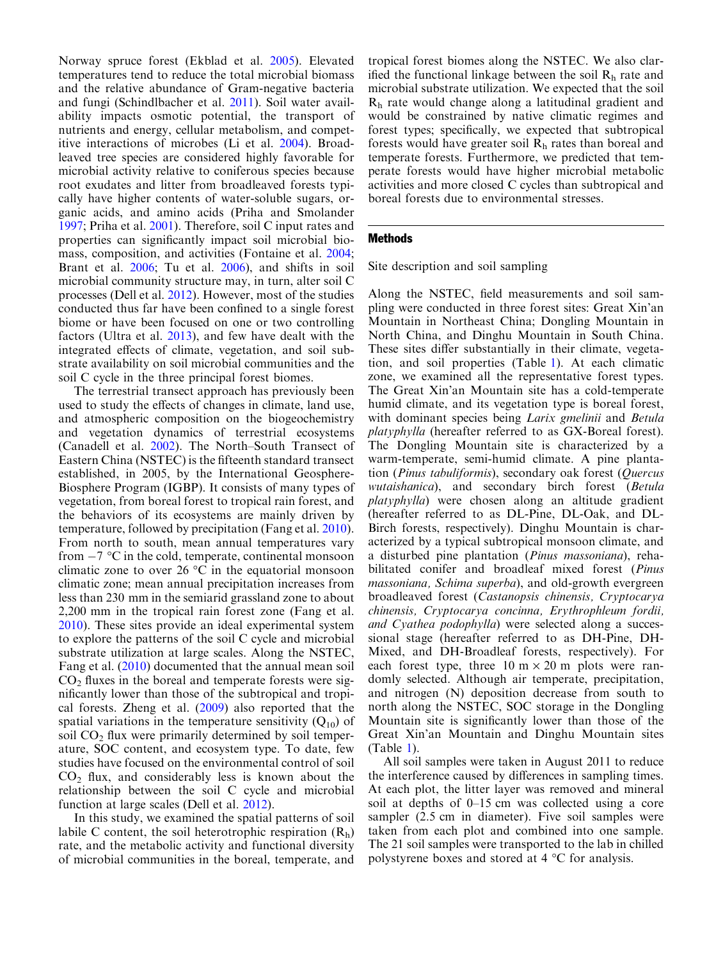Norway spruce forest (Ekblad et al. [2005\)](#page-8-0). Elevated temperatures tend to reduce the total microbial biomass and the relative abundance of Gram-negative bacteria and fungi (Schindlbacher et al. [2011](#page-9-0)). Soil water availability impacts osmotic potential, the transport of nutrients and energy, cellular metabolism, and competitive interactions of microbes (Li et al. [2004\)](#page-9-0). Broadleaved tree species are considered highly favorable for microbial activity relative to coniferous species because root exudates and litter from broadleaved forests typically have higher contents of water-soluble sugars, organic acids, and amino acids (Priha and Smolander [1997](#page-9-0); Priha et al. [2001](#page-9-0)). Therefore, soil C input rates and properties can significantly impact soil microbial biomass, composition, and activities (Fontaine et al. [2004](#page-8-0); Brant et al. [2006](#page-8-0); Tu et al. [2006](#page-9-0)), and shifts in soil microbial community structure may, in turn, alter soil C processes (Dell et al. [2012\)](#page-8-0). However, most of the studies conducted thus far have been confined to a single forest biome or have been focused on one or two controlling factors (Ultra et al. [2013](#page-9-0)), and few have dealt with the integrated effects of climate, vegetation, and soil substrate availability on soil microbial communities and the soil C cycle in the three principal forest biomes.

The terrestrial transect approach has previously been used to study the effects of changes in climate, land use, and atmospheric composition on the biogeochemistry and vegetation dynamics of terrestrial ecosystems (Canadell et al. [2002](#page-8-0)). The North–South Transect of Eastern China (NSTEC) is the fifteenth standard transect established, in 2005, by the International Geosphere-Biosphere Program (IGBP). It consists of many types of vegetation, from boreal forest to tropical rain forest, and the behaviors of its ecosystems are mainly driven by temperature, followed by precipitation (Fang et al. [2010\)](#page-8-0). From north to south, mean annual temperatures vary from  $-7$  °C in the cold, temperate, continental monsoon climatic zone to over  $26^{\circ}$ C in the equatorial monsoon climatic zone; mean annual precipitation increases from less than 230 mm in the semiarid grassland zone to about 2,200 mm in the tropical rain forest zone (Fang et al. [2010](#page-8-0)). These sites provide an ideal experimental system to explore the patterns of the soil C cycle and microbial substrate utilization at large scales. Along the NSTEC, Fang et al. [\(2010\)](#page-8-0) documented that the annual mean soil  $CO<sub>2</sub>$  fluxes in the boreal and temperate forests were significantly lower than those of the subtropical and tropical forests. Zheng et al. [\(2009\)](#page-9-0) also reported that the spatial variations in the temperature sensitivity  $(Q_{10})$  of soil  $CO<sub>2</sub>$  flux were primarily determined by soil temperature, SOC content, and ecosystem type. To date, few studies have focused on the environmental control of soil  $CO<sub>2</sub>$  flux, and considerably less is known about the relationship between the soil C cycle and microbial function at large scales (Dell et al. [2012](#page-8-0)).

In this study, we examined the spatial patterns of soil labile C content, the soil heterotrophic respiration  $(R_h)$ rate, and the metabolic activity and functional diversity of microbial communities in the boreal, temperate, and

tropical forest biomes along the NSTEC. We also clarified the functional linkage between the soil  $R<sub>h</sub>$  rate and microbial substrate utilization. We expected that the soil Rh rate would change along a latitudinal gradient and would be constrained by native climatic regimes and forest types; specifically, we expected that subtropical forests would have greater soil  $R<sub>h</sub>$  rates than boreal and temperate forests. Furthermore, we predicted that temperate forests would have higher microbial metabolic activities and more closed C cycles than subtropical and boreal forests due to environmental stresses.

## Methods

Site description and soil sampling

Along the NSTEC, field measurements and soil sampling were conducted in three forest sites: Great Xin'an Mountain in Northeast China; Dongling Mountain in North China, and Dinghu Mountain in South China. These sites differ substantially in their climate, vegetation, and soil properties (Table [1](#page-2-0)). At each climatic zone, we examined all the representative forest types. The Great Xin'an Mountain site has a cold-temperate humid climate, and its vegetation type is boreal forest, with dominant species being *Larix gmelinii* and *Betula* platyphylla (hereafter referred to as GX-Boreal forest). The Dongling Mountain site is characterized by a warm-temperate, semi-humid climate. A pine plantation (Pinus tabuliformis), secondary oak forest (Quercus wutaishanica), and secondary birch forest (Betula platyphylla) were chosen along an altitude gradient (hereafter referred to as DL-Pine, DL-Oak, and DL-Birch forests, respectively). Dinghu Mountain is characterized by a typical subtropical monsoon climate, and a disturbed pine plantation (Pinus massoniana), rehabilitated conifer and broadleaf mixed forest (Pinus massoniana, Schima superba), and old-growth evergreen broadleaved forest (Castanopsis chinensis, Cryptocarya chinensis, Cryptocarya concinna, Erythrophleum fordii, and Cyathea podophylla) were selected along a successional stage (hereafter referred to as DH-Pine, DH-Mixed, and DH-Broadleaf forests, respectively). For each forest type, three  $10 \text{ m} \times 20 \text{ m}$  plots were randomly selected. Although air temperate, precipitation, and nitrogen (N) deposition decrease from south to north along the NSTEC, SOC storage in the Dongling Mountain site is significantly lower than those of the Great Xin'an Mountain and Dinghu Mountain sites (Table [1\)](#page-2-0).

All soil samples were taken in August 2011 to reduce the interference caused by differences in sampling times. At each plot, the litter layer was removed and mineral soil at depths of 0–15 cm was collected using a core sampler (2.5 cm in diameter). Five soil samples were taken from each plot and combined into one sample. The 21 soil samples were transported to the lab in chilled polystyrene boxes and stored at  $4^{\circ}$ C for analysis.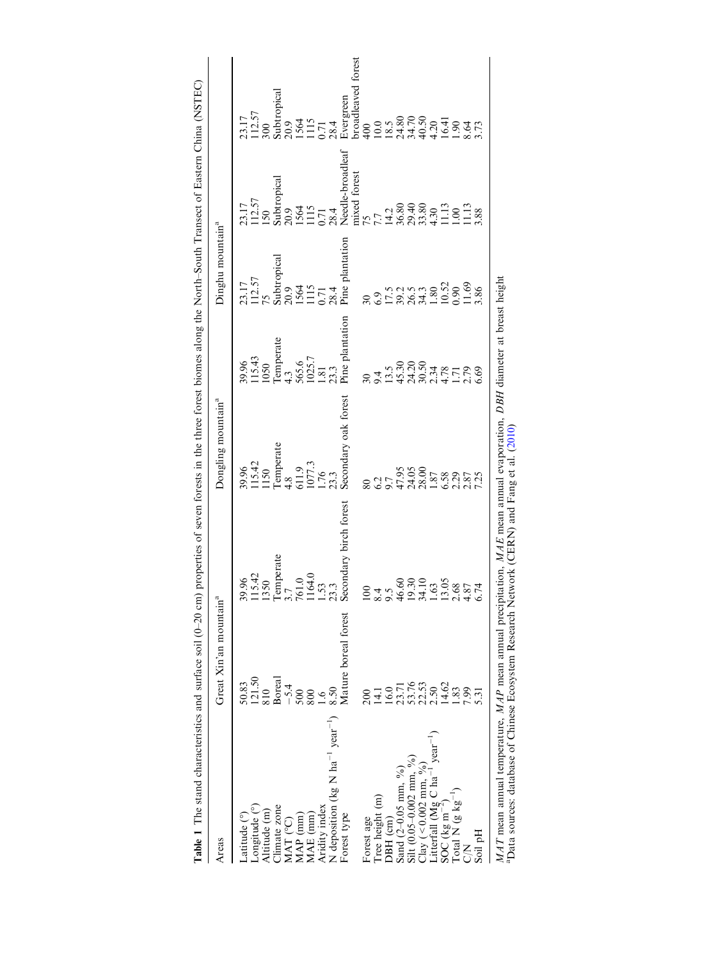<span id="page-2-0"></span>

| Table 1 The stand characteristics and surface soil (0-20 cm)                                                           |                                                                                                    |                                                                                       | properties of seven forests in the three forest biomes along the North-South Transect of Eastern China (NSTEC)                 |                                                                                                                                                                                                                                |                                                                                                                                                                                                                                |                                                                                                                                                                                                |                                                                                                                                                                             |
|------------------------------------------------------------------------------------------------------------------------|----------------------------------------------------------------------------------------------------|---------------------------------------------------------------------------------------|--------------------------------------------------------------------------------------------------------------------------------|--------------------------------------------------------------------------------------------------------------------------------------------------------------------------------------------------------------------------------|--------------------------------------------------------------------------------------------------------------------------------------------------------------------------------------------------------------------------------|------------------------------------------------------------------------------------------------------------------------------------------------------------------------------------------------|-----------------------------------------------------------------------------------------------------------------------------------------------------------------------------|
| Areas                                                                                                                  | Great Xin'an mountain <sup>a</sup>                                                                 |                                                                                       | Dongling mountain <sup>a</sup>                                                                                                 |                                                                                                                                                                                                                                | Dinghu mountain <sup>a</sup>                                                                                                                                                                                                   |                                                                                                                                                                                                |                                                                                                                                                                             |
| _atitude (°)                                                                                                           |                                                                                                    |                                                                                       | 39.96<br>115.42<br>115.42<br>1150<br>Temperate<br>1150<br>4.8<br>6.176<br>1.76<br>23.3<br>23.3<br>23.3<br>Secondary oak forest |                                                                                                                                                                                                                                |                                                                                                                                                                                                                                |                                                                                                                                                                                                |                                                                                                                                                                             |
| Longitude (°)                                                                                                          | $\frac{50.83}{121.50}$                                                                             | $\frac{9.96}{15.42}$                                                                  |                                                                                                                                |                                                                                                                                                                                                                                | 23.17<br>112.57<br>75                                                                                                                                                                                                          |                                                                                                                                                                                                |                                                                                                                                                                             |
| Altitude (m)                                                                                                           | 810                                                                                                |                                                                                       |                                                                                                                                |                                                                                                                                                                                                                                |                                                                                                                                                                                                                                | 23.17<br>112.57<br>150                                                                                                                                                                         |                                                                                                                                                                             |
| Climate zone                                                                                                           |                                                                                                    |                                                                                       |                                                                                                                                | 39.96<br>115.43<br>1050<br>1050<br>Temperate<br>4.3<br>55.5<br>12.3<br>12.3                                                                                                                                                    |                                                                                                                                                                                                                                |                                                                                                                                                                                                |                                                                                                                                                                             |
| MAT <sup>(°C)</sup>                                                                                                    | Boreal<br>$-5.4$<br>$500$                                                                          | Temperate<br>3.7                                                                      |                                                                                                                                |                                                                                                                                                                                                                                |                                                                                                                                                                                                                                |                                                                                                                                                                                                |                                                                                                                                                                             |
| $MAP$ $(nm)$                                                                                                           |                                                                                                    |                                                                                       |                                                                                                                                |                                                                                                                                                                                                                                |                                                                                                                                                                                                                                |                                                                                                                                                                                                |                                                                                                                                                                             |
| $MAE$ (mm)                                                                                                             | 800                                                                                                |                                                                                       |                                                                                                                                |                                                                                                                                                                                                                                |                                                                                                                                                                                                                                |                                                                                                                                                                                                |                                                                                                                                                                             |
| Aridity index                                                                                                          | $\leq$                                                                                             |                                                                                       |                                                                                                                                |                                                                                                                                                                                                                                |                                                                                                                                                                                                                                |                                                                                                                                                                                                |                                                                                                                                                                             |
| N deposition (kg N $ha^{-1}$ year <sup>-1</sup> )                                                                      | 8.50                                                                                               | $\frac{610}{164}$<br>$\frac{33}{23}$                                                  |                                                                                                                                |                                                                                                                                                                                                                                |                                                                                                                                                                                                                                |                                                                                                                                                                                                |                                                                                                                                                                             |
| Forest type                                                                                                            | Mature boreal forest                                                                               | econdary birch forest                                                                 |                                                                                                                                | Pine plantati                                                                                                                                                                                                                  | Subtropical<br>20.9<br>1564<br>1115<br>1115<br>0.71<br>28.4<br>28.4                                                                                                                                                            | Subtropical<br>20.9<br>20.9<br>11564<br>1115<br>1115<br>Needle-broadleaf<br>Needle-broadleaf<br>Needle-broadleaf<br>29.40<br>14.2<br>29.40<br>29.40<br>3.80<br>3.30<br>11.13<br>11.13<br>11.13 | 23.17<br>112.57<br>112.57<br>300<br>3009<br>20.9<br>1564<br>158.4<br>58.4.70<br>10.0<br>10.0<br>10.0<br>16.41<br>34.70<br>36.64<br>16.41<br>16.41<br>16.41<br>16.41<br>16.4 |
|                                                                                                                        |                                                                                                    |                                                                                       |                                                                                                                                |                                                                                                                                                                                                                                |                                                                                                                                                                                                                                |                                                                                                                                                                                                |                                                                                                                                                                             |
| Forest age                                                                                                             | 200                                                                                                |                                                                                       | $\overline{80}$                                                                                                                |                                                                                                                                                                                                                                |                                                                                                                                                                                                                                |                                                                                                                                                                                                |                                                                                                                                                                             |
| Tree height (m)                                                                                                        |                                                                                                    | 84.                                                                                   |                                                                                                                                |                                                                                                                                                                                                                                |                                                                                                                                                                                                                                |                                                                                                                                                                                                |                                                                                                                                                                             |
| DBH (cm)                                                                                                               |                                                                                                    |                                                                                       |                                                                                                                                |                                                                                                                                                                                                                                |                                                                                                                                                                                                                                |                                                                                                                                                                                                |                                                                                                                                                                             |
| Sand $(2-0.05$ mm, $\%$ )                                                                                              |                                                                                                    |                                                                                       |                                                                                                                                |                                                                                                                                                                                                                                |                                                                                                                                                                                                                                |                                                                                                                                                                                                |                                                                                                                                                                             |
| Silt $(0.05-0.002$ mm, %)                                                                                              | $\begin{array}{c} 14.1 \\ 16.0 \\ 23.76 \\ 33.78 \\ 24.62 \\ 14.62 \\ 14.83 \\ \hline \end{array}$ | $\frac{6.60}{9.30}$<br>$\frac{3.30}{4.10}$<br>$\frac{3.05}{3.05}$<br>$\frac{8}{3.74}$ | $47.9500$<br>$47.48.8780$<br>$47.48.8780$<br>$47.4890$<br>$47.890$<br>$47.4890$                                                | $30,45,000,47,000,47,000,441,000,441,000,441,000,441,000,441,000,441,000,441,000,441,000,441,000,441,000,441,000,441,000,441,000,441,000,441,000,441,000,441,000,441,000,441,000,441,000,441,000,441,000,441,000,441,000,441,$ | $30.51, 21.53, 33.53, 33.53, 33.53, 33.53, 33.53, 33.53, 33.53, 33.53, 33.53, 33.53, 33.53, 33.53, 33.53, 33.53, 33.53, 33.53, 33.53, 33.53, 33.53, 33.53, 33.53, 33.53, 33.53, 33.53, 33.53, 33.53, 33.53, 33.53, 33.53, 33.$ |                                                                                                                                                                                                |                                                                                                                                                                             |
| $Clay (< 0.002$ mm, $\frac{9}{9}$                                                                                      |                                                                                                    |                                                                                       |                                                                                                                                |                                                                                                                                                                                                                                |                                                                                                                                                                                                                                |                                                                                                                                                                                                |                                                                                                                                                                             |
| $year^{-1}$                                                                                                            |                                                                                                    |                                                                                       |                                                                                                                                |                                                                                                                                                                                                                                |                                                                                                                                                                                                                                |                                                                                                                                                                                                |                                                                                                                                                                             |
| Litterfall (Mg C ha <sup>-1</sup> )<br>SOC (kg m <sup>-2</sup> )                                                       |                                                                                                    |                                                                                       |                                                                                                                                |                                                                                                                                                                                                                                |                                                                                                                                                                                                                                |                                                                                                                                                                                                |                                                                                                                                                                             |
| Total N $(g \text{ kg}^{-1})$                                                                                          |                                                                                                    |                                                                                       |                                                                                                                                |                                                                                                                                                                                                                                |                                                                                                                                                                                                                                |                                                                                                                                                                                                |                                                                                                                                                                             |
| 2<br>O                                                                                                                 | 7.99                                                                                               |                                                                                       |                                                                                                                                |                                                                                                                                                                                                                                |                                                                                                                                                                                                                                |                                                                                                                                                                                                |                                                                                                                                                                             |
| Soil pH                                                                                                                | 5.31                                                                                               |                                                                                       |                                                                                                                                |                                                                                                                                                                                                                                |                                                                                                                                                                                                                                |                                                                                                                                                                                                |                                                                                                                                                                             |
| MAT mean annual temperature, MAP mean annual precipitation, MAE mean annual evaporation, DBH diameter at breast height |                                                                                                    |                                                                                       |                                                                                                                                |                                                                                                                                                                                                                                |                                                                                                                                                                                                                                |                                                                                                                                                                                                |                                                                                                                                                                             |

and a sources: database of Chinese Ecosystem Research Network (CERN) and Fang et al. (2010) aData sources: database of Chinese Ecosystem Research Network (CERN) and Fang et al. [\(2010](#page-8-0))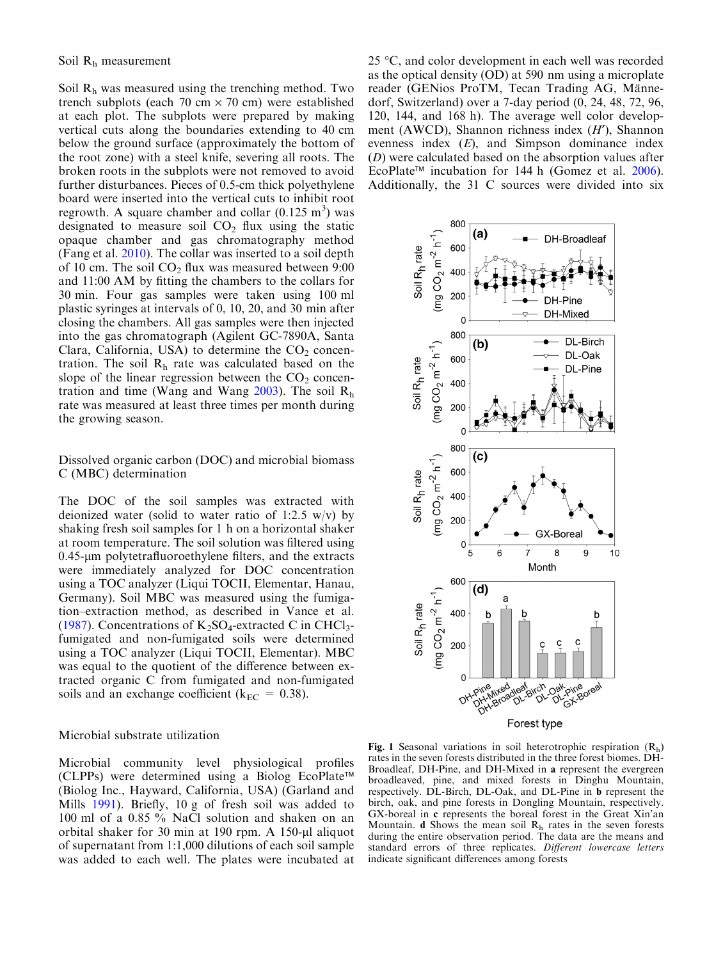<span id="page-3-0"></span>Soil Rh was measured using the trenching method. Two trench subplots (each 70 cm  $\times$  70 cm) were established at each plot. The subplots were prepared by making vertical cuts along the boundaries extending to 40 cm below the ground surface (approximately the bottom of the root zone) with a steel knife, severing all roots. The broken roots in the subplots were not removed to avoid further disturbances. Pieces of 0.5-cm thick polyethylene board were inserted into the vertical cuts to inhibit root regrowth. A square chamber and collar  $(0.125 \text{ m}^3)$  was designated to measure soil  $CO<sub>2</sub>$  flux using the static opaque chamber and gas chromatography method (Fang et al. [2010](#page-8-0)). The collar was inserted to a soil depth of 10 cm. The soil  $CO<sub>2</sub>$  flux was measured between 9:00 and 11:00 AM by fitting the chambers to the collars for 30 min. Four gas samples were taken using 100 ml plastic syringes at intervals of 0, 10, 20, and 30 min after closing the chambers. All gas samples were then injected into the gas chromatograph (Agilent GC-7890A, Santa Clara, California, USA) to determine the  $CO<sub>2</sub>$  concentration. The soil  $R<sub>h</sub>$  rate was calculated based on the slope of the linear regression between the  $CO<sub>2</sub>$  concentration and time (Wang and Wang  $2003$ ). The soil  $R<sub>h</sub>$ rate was measured at least three times per month during the growing season.

Dissolved organic carbon (DOC) and microbial biomass C (MBC) determination

The DOC of the soil samples was extracted with deionized water (solid to water ratio of 1:2.5 w/v) by shaking fresh soil samples for 1 h on a horizontal shaker at room temperature. The soil solution was filtered using  $0.45$ - $\mu$ m polytetrafluoroethylene filters, and the extracts were immediately analyzed for DOC concentration using a TOC analyzer (Liqui TOCII, Elementar, Hanau, Germany). Soil MBC was measured using the fumigation–extraction method, as described in Vance et al. ([1987\)](#page-9-0). Concentrations of  $K_2SO_4$ -extracted C in CHCl<sub>3</sub>fumigated and non-fumigated soils were determined using a TOC analyzer (Liqui TOCII, Elementar). MBC was equal to the quotient of the difference between extracted organic C from fumigated and non-fumigated soils and an exchange coefficient ( $k_{EC} = 0.38$ ).

### Microbial substrate utilization

Microbial community level physiological profiles  $(CLPPs)$  were determined using a Biolog EcoPlate<sup>TM</sup> (Biolog Inc., Hayward, California, USA) (Garland and Mills [1991](#page-8-0)). Briefly, 10 g of fresh soil was added to 100 ml of a 0.85 % NaCl solution and shaken on an orbital shaker for 30 min at 190 rpm. A 150- $\mu$ l aliquot of supernatant from 1:1,000 dilutions of each soil sample was added to each well. The plates were incubated at

25  $\degree$ C, and color development in each well was recorded as the optical density (OD) at 590 nm using a microplate reader (GENios ProTM, Tecan Trading AG, Männedorf, Switzerland) over a 7-day period (0, 24, 48, 72, 96, 120, 144, and 168 h). The average well color development (AWCD), Shannon richness index  $(H')$ , Shannon evenness index (E), and Simpson dominance index (D) were calculated based on the absorption values after EcoPlate<sup>TM</sup> incubation for 144 h (Gomez et al.  $2006$ ). Additionally, the 31 C sources were divided into six



Fig. 1 Seasonal variations in soil heterotrophic respiration (Rh) rates in the seven forests distributed in the three forest biomes. DH-Broadleaf, DH-Pine, and DH-Mixed in a represent the evergreen broadleaved, pine, and mixed forests in Dinghu Mountain, respectively. DL-Birch, DL-Oak, and DL-Pine in b represent the birch, oak, and pine forests in Dongling Mountain, respectively. GX-boreal in c represents the boreal forest in the Great Xin'an Mountain. **d** Shows the mean soil  $R_h$  rates in the seven forests during the entire observation period. The data are the means and standard errors of three replicates. Different lowercase letters indicate significant differences among forests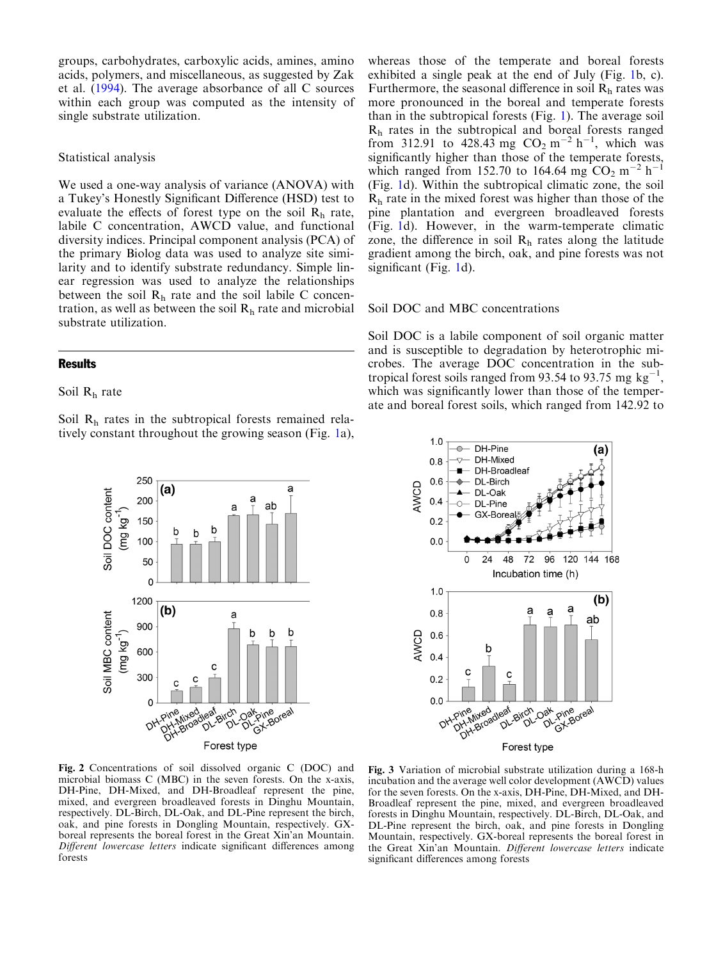<span id="page-4-0"></span>groups, carbohydrates, carboxylic acids, amines, amino acids, polymers, and miscellaneous, as suggested by Zak et al. [\(1994\)](#page-9-0). The average absorbance of all C sources within each group was computed as the intensity of single substrate utilization.

## Statistical analysis

We used a one-way analysis of variance (ANOVA) with a Tukey's Honestly Significant Difference (HSD) test to evaluate the effects of forest type on the soil  $R_h$  rate, labile C concentration, AWCD value, and functional diversity indices. Principal component analysis (PCA) of the primary Biolog data was used to analyze site similarity and to identify substrate redundancy. Simple linear regression was used to analyze the relationships between the soil  $R<sub>h</sub>$  rate and the soil labile C concentration, as well as between the soil  $R<sub>h</sub>$  rate and microbial substrate utilization.

## **Results**

# Soil  $R_h$  rate

Soil  $R_h$  rates in the subtropical forests remained relatively constant throughout the growing season (Fig. [1a](#page-3-0)),



Fig. 2 Concentrations of soil dissolved organic C (DOC) and microbial biomass C (MBC) in the seven forests. On the x-axis, DH-Pine, DH-Mixed, and DH-Broadleaf represent the pine, mixed, and evergreen broadleaved forests in Dinghu Mountain, respectively. DL-Birch, DL-Oak, and DL-Pine represent the birch, oak, and pine forests in Dongling Mountain, respectively. GXboreal represents the boreal forest in the Great Xin'an Mountain. Different lowercase letters indicate significant differences among forests

whereas those of the temperate and boreal forests exhibited a single peak at the end of July (Fig. [1](#page-3-0)b, c). Furthermore, the seasonal difference in soil  $R<sub>h</sub>$  rates was more pronounced in the boreal and temperate forests than in the subtropical forests (Fig. [1\)](#page-3-0). The average soil  $R<sub>h</sub>$  rates in the subtropical and boreal forests ranged from 312.91 to 428.43 mg  $CO_2 \text{ m}^{-2} \text{ h}^{-1}$ , which was significantly higher than those of the temperate forests, which ranged from 152.70 to 164.64 mg  $CO_2$  m<sup>-2</sup> h<sup>-1</sup> (Fig. [1d](#page-3-0)). Within the subtropical climatic zone, the soil  $R<sub>h</sub>$  rate in the mixed forest was higher than those of the pine plantation and evergreen broadleaved forests (Fig. [1d](#page-3-0)). However, in the warm-temperate climatic zone, the difference in soil  $R<sub>h</sub>$  rates along the latitude gradient among the birch, oak, and pine forests was not significant (Fig. [1](#page-3-0)d).

#### Soil DOC and MBC concentrations

Soil DOC is a labile component of soil organic matter and is susceptible to degradation by heterotrophic microbes. The average DOC concentration in the subtropical forest soils ranged from 93.54 to 93.75 mg  $kg^{-1}$ , which was significantly lower than those of the temperate and boreal forest soils, which ranged from 142.92 to



Fig. 3 Variation of microbial substrate utilization during a 168-h incubation and the average well color development (AWCD) values for the seven forests. On the x-axis, DH-Pine, DH-Mixed, and DH-Broadleaf represent the pine, mixed, and evergreen broadleaved forests in Dinghu Mountain, respectively. DL-Birch, DL-Oak, and DL-Pine represent the birch, oak, and pine forests in Dongling Mountain, respectively. GX-boreal represents the boreal forest in the Great Xin'an Mountain. Different lowercase letters indicate significant differences among forests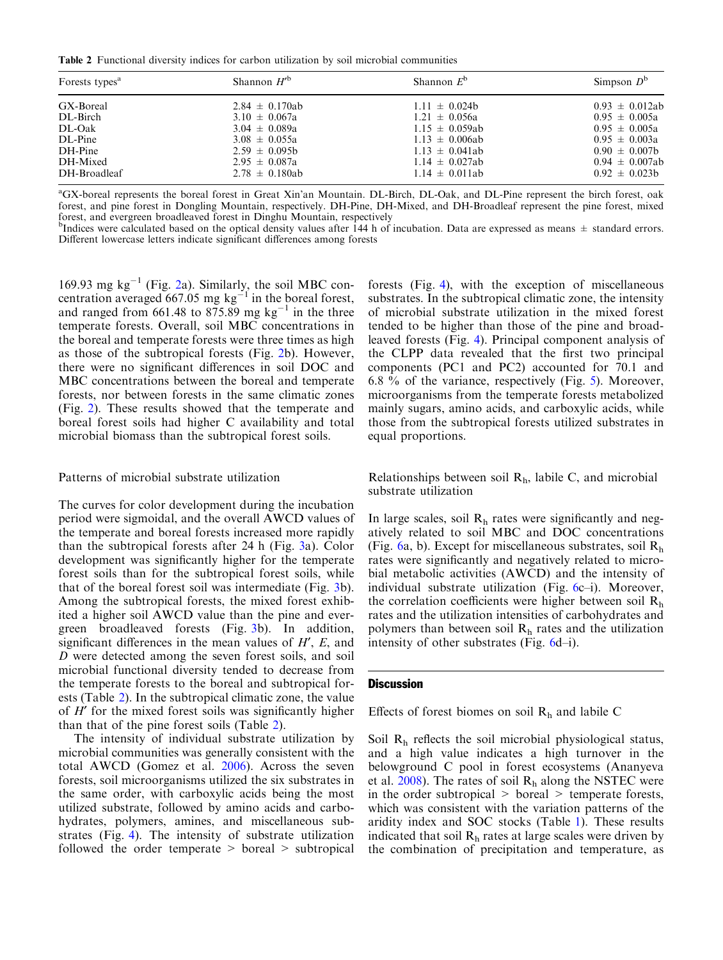<span id="page-5-0"></span>Table 2 Functional diversity indices for carbon utilization by soil microbial communities

| Forests types <sup>a</sup> | Shannon $H^{\prime}$ <sup>b</sup> | Shannon $E^{\circ}$ | Simpson $D^b$       |
|----------------------------|-----------------------------------|---------------------|---------------------|
| GX-Boreal                  | $2.84 \pm 0.170ab$                | $1.11 \pm 0.024b$   | $0.93 \pm 0.012ab$  |
| DL-Birch                   | $3.10 \pm 0.067a$                 | $1.21 \pm 0.056a$   | $0.95 \pm 0.005a$   |
| DL-Oak                     | $3.04 \pm 0.089a$                 | $1.15 \pm 0.059ab$  | $0.95 \pm 0.005a$   |
| DL-Pine                    | $3.08 \pm 0.055a$                 | $1.13 \pm 0.006ab$  | $0.95 \pm 0.003a$   |
| DH-Pine                    | $2.59 \pm 0.095b$                 | $1.13 \pm 0.041ab$  | $0.90 \pm 0.007$    |
| DH-Mixed                   | $2.95 \pm 0.087a$                 | $1.14 \pm 0.027ab$  | $0.94 \pm 0.007$ ab |
| DH-Broadleaf               | $2.78 \pm 0.180ab$                | $1.14 \pm 0.011ab$  | $0.92 \pm 0.023b$   |

a GX-boreal represents the boreal forest in Great Xin'an Mountain. DL-Birch, DL-Oak, and DL-Pine represent the birch forest, oak forest, and pine forest in Dongling Mountain, respectively. DH-Pine, DH-Mixed, and DH-Broadleaf represent the pine forest, mixed forest, and evergreen broadleaved forest in Dinghu Mountain, respectively

<sup>b</sup>Indices were calculated based on the optical density values after 144 h of incubation. Data are expressed as means  $\pm$  standard errors. Different lowercase letters indicate significant differences among forests

169.93 mg  $kg^{-1}$  (Fig. [2a](#page-4-0)). Similarly, the soil MBC concentration averaged 667.05 mg  $kg^{-1}$  in the boreal forest, and ranged from 661.48 to  $875.89$  mg kg<sup>-1</sup> in the three temperate forests. Overall, soil MBC concentrations in the boreal and temperate forests were three times as high as those of the subtropical forests (Fig. [2](#page-4-0)b). However, there were no significant differences in soil DOC and MBC concentrations between the boreal and temperate forests, nor between forests in the same climatic zones (Fig. [2](#page-4-0)). These results showed that the temperate and boreal forest soils had higher C availability and total microbial biomass than the subtropical forest soils.

## Patterns of microbial substrate utilization

The curves for color development during the incubation period were sigmoidal, and the overall AWCD values of the temperate and boreal forests increased more rapidly than the subtropical forests after 24 h (Fig. [3](#page-4-0)a). Color development was significantly higher for the temperate forest soils than for the subtropical forest soils, while that of the boreal forest soil was intermediate (Fig. [3](#page-4-0)b). Among the subtropical forests, the mixed forest exhibited a higher soil AWCD value than the pine and evergreen broadleaved forests (Fig. [3b](#page-4-0)). In addition, significant differences in the mean values of  $H$ ,  $E$ , and D were detected among the seven forest soils, and soil microbial functional diversity tended to decrease from the temperate forests to the boreal and subtropical forests (Table 2). In the subtropical climatic zone, the value of  $H'$  for the mixed forest soils was significantly higher than that of the pine forest soils (Table 2).

The intensity of individual substrate utilization by microbial communities was generally consistent with the total AWCD (Gomez et al. [2006\)](#page-8-0). Across the seven forests, soil microorganisms utilized the six substrates in the same order, with carboxylic acids being the most utilized substrate, followed by amino acids and carbohydrates, polymers, amines, and miscellaneous substrates (Fig. [4](#page-6-0)). The intensity of substrate utilization followed the order temperate > boreal > subtropical

forests (Fig. [4](#page-6-0)), with the exception of miscellaneous substrates. In the subtropical climatic zone, the intensity of microbial substrate utilization in the mixed forest tended to be higher than those of the pine and broadleaved forests (Fig. [4\)](#page-6-0). Principal component analysis of the CLPP data revealed that the first two principal components (PC1 and PC2) accounted for 70.1 and 6.8  $\%$  of the variance, respectively (Fig. [5](#page-6-0)). Moreover, microorganisms from the temperate forests metabolized mainly sugars, amino acids, and carboxylic acids, while those from the subtropical forests utilized substrates in equal proportions.

Relationships between soil  $R_h$ , labile C, and microbial substrate utilization

In large scales, soil  $R<sub>h</sub>$  rates were significantly and negatively related to soil MBC and DOC concentrations (Fig. [6a](#page-7-0), b). Except for miscellaneous substrates, soil  $R_h$ rates were significantly and negatively related to microbial metabolic activities (AWCD) and the intensity of individual substrate utilization (Fig. [6](#page-7-0)c–i). Moreover, the correlation coefficients were higher between soil  $R_h$ rates and the utilization intensities of carbohydrates and polymers than between soil  $R<sub>h</sub>$  rates and the utilization intensity of other substrates (Fig. [6d](#page-7-0)–i).

## **Discussion**

Effects of forest biomes on soil  $R_h$  and labile C

Soil  $R<sub>h</sub>$  reflects the soil microbial physiological status, and a high value indicates a high turnover in the belowground C pool in forest ecosystems (Ananyeva et al. [2008\)](#page-8-0). The rates of soil  $R<sub>h</sub>$  along the NSTEC were in the order subtropical  $>$  boreal  $>$  temperate forests, which was consistent with the variation patterns of the aridity index and SOC stocks (Table [1\)](#page-2-0). These results indicated that soil  $R<sub>h</sub>$  rates at large scales were driven by the combination of precipitation and temperature, as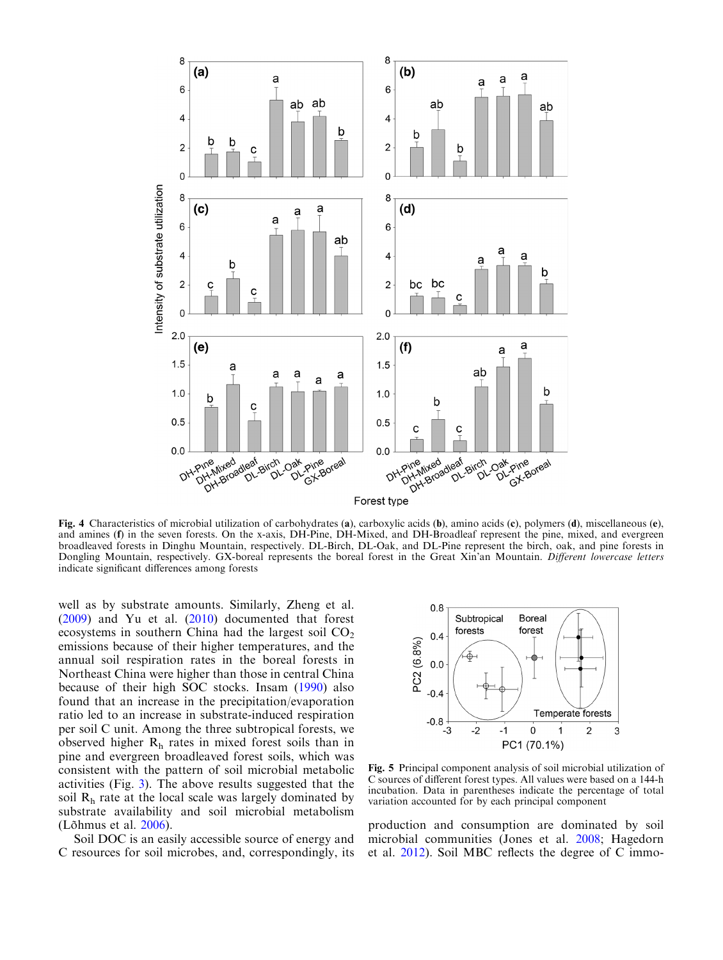<span id="page-6-0"></span>

Fig. 4 Characteristics of microbial utilization of carbohydrates (a), carboxylic acids (b), amino acids (c), polymers (d), miscellaneous (e), and amines (f) in the seven forests. On the x-axis, DH-Pine, DH-Mixed, and DH-Broadleaf represent the pine, mixed, and evergreen broadleaved forests in Dinghu Mountain, respectively. DL-Birch, DL-Oak, and DL-Pine represent the birch, oak, and pine forests in Dongling Mountain, respectively. GX-boreal represents the boreal forest in the Great Xin'an Mountain. Different lowercase letters indicate significant differences among forests

well as by substrate amounts. Similarly, Zheng et al. ([2009\)](#page-9-0) and Yu et al. ([2010](#page-9-0)) documented that forest ecosystems in southern China had the largest soil  $CO<sub>2</sub>$ emissions because of their higher temperatures, and the annual soil respiration rates in the boreal forests in Northeast China were higher than those in central China because of their high SOC stocks. Insam ([1990](#page-9-0)) also found that an increase in the precipitation/evaporation ratio led to an increase in substrate-induced respiration per soil C unit. Among the three subtropical forests, we observed higher  $R_h$  rates in mixed forest soils than in pine and evergreen broadleaved forest soils, which was consistent with the pattern of soil microbial metabolic activities (Fig. [3](#page-4-0)). The above results suggested that the soil  $R<sub>h</sub>$  rate at the local scale was largely dominated by substrate availability and soil microbial metabolism (Lõhmus et al. [2006](#page-9-0)).

Soil DOC is an easily accessible source of energy and C resources for soil microbes, and, correspondingly, its



Fig. 5 Principal component analysis of soil microbial utilization of C sources of different forest types. All values were based on a 144-h incubation. Data in parentheses indicate the percentage of total variation accounted for by each principal component

production and consumption are dominated by soil microbial communities (Jones et al. [2008;](#page-9-0) Hagedorn et al. [2012](#page-9-0)). Soil MBC reflects the degree of C immo-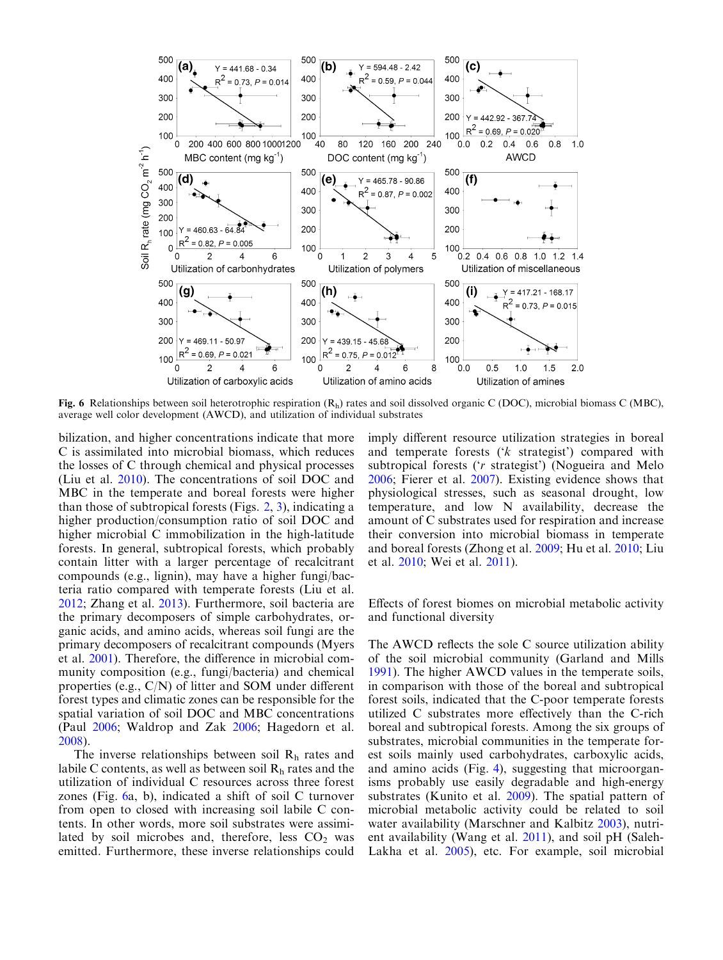<span id="page-7-0"></span>

Fig. 6 Relationships between soil heterotrophic respiration  $(R_h)$  rates and soil dissolved organic C (DOC), microbial biomass C (MBC), average well color development (AWCD), and utilization of individual substrates

bilization, and higher concentrations indicate that more C is assimilated into microbial biomass, which reduces the losses of C through chemical and physical processes (Liu et al. [2010](#page-9-0)). The concentrations of soil DOC and MBC in the temperate and boreal forests were higher than those of subtropical forests (Figs. [2](#page-4-0), [3\)](#page-4-0), indicating a higher production/consumption ratio of soil DOC and higher microbial C immobilization in the high-latitude forests. In general, subtropical forests, which probably contain litter with a larger percentage of recalcitrant compounds (e.g., lignin), may have a higher fungi/bacteria ratio compared with temperate forests (Liu et al. [2012](#page-9-0); Zhang et al. [2013](#page-9-0)). Furthermore, soil bacteria are the primary decomposers of simple carbohydrates, organic acids, and amino acids, whereas soil fungi are the primary decomposers of recalcitrant compounds (Myers et al. [2001\)](#page-9-0). Therefore, the difference in microbial community composition (e.g., fungi/bacteria) and chemical properties (e.g., C/N) of litter and SOM under different forest types and climatic zones can be responsible for the spatial variation of soil DOC and MBC concentrations (Paul [2006](#page-9-0); Waldrop and Zak [2006](#page-9-0); Hagedorn et al. [2008](#page-9-0)).

The inverse relationships between soil  $R<sub>h</sub>$  rates and labile C contents, as well as between soil  $R<sub>h</sub>$  rates and the utilization of individual C resources across three forest zones (Fig. 6a, b), indicated a shift of soil C turnover from open to closed with increasing soil labile C contents. In other words, more soil substrates were assimilated by soil microbes and, therefore, less  $CO<sub>2</sub>$  was emitted. Furthermore, these inverse relationships could imply different resource utilization strategies in boreal and temperate forests ('k strategist') compared with subtropical forests ('r strategist') (Nogueira and Melo [2006;](#page-9-0) Fierer et al. [2007](#page-8-0)). Existing evidence shows that physiological stresses, such as seasonal drought, low temperature, and low N availability, decrease the amount of C substrates used for respiration and increase their conversion into microbial biomass in temperate and boreal forests (Zhong et al. [2009](#page-9-0); Hu et al. [2010;](#page-9-0) Liu et al. [2010;](#page-9-0) Wei et al. [2011\)](#page-9-0).

Effects of forest biomes on microbial metabolic activity and functional diversity

The AWCD reflects the sole C source utilization ability of the soil microbial community (Garland and Mills [1991\)](#page-8-0). The higher AWCD values in the temperate soils, in comparison with those of the boreal and subtropical forest soils, indicated that the C-poor temperate forests utilized C substrates more effectively than the C-rich boreal and subtropical forests. Among the six groups of substrates, microbial communities in the temperate forest soils mainly used carbohydrates, carboxylic acids, and amino acids (Fig. [4](#page-6-0)), suggesting that microorganisms probably use easily degradable and high-energy substrates (Kunito et al. [2009](#page-9-0)). The spatial pattern of microbial metabolic activity could be related to soil water availability (Marschner and Kalbitz [2003\)](#page-9-0), nutrient availability (Wang et al. [2011\)](#page-9-0), and soil pH (Saleh-Lakha et al. [2005\)](#page-9-0), etc. For example, soil microbial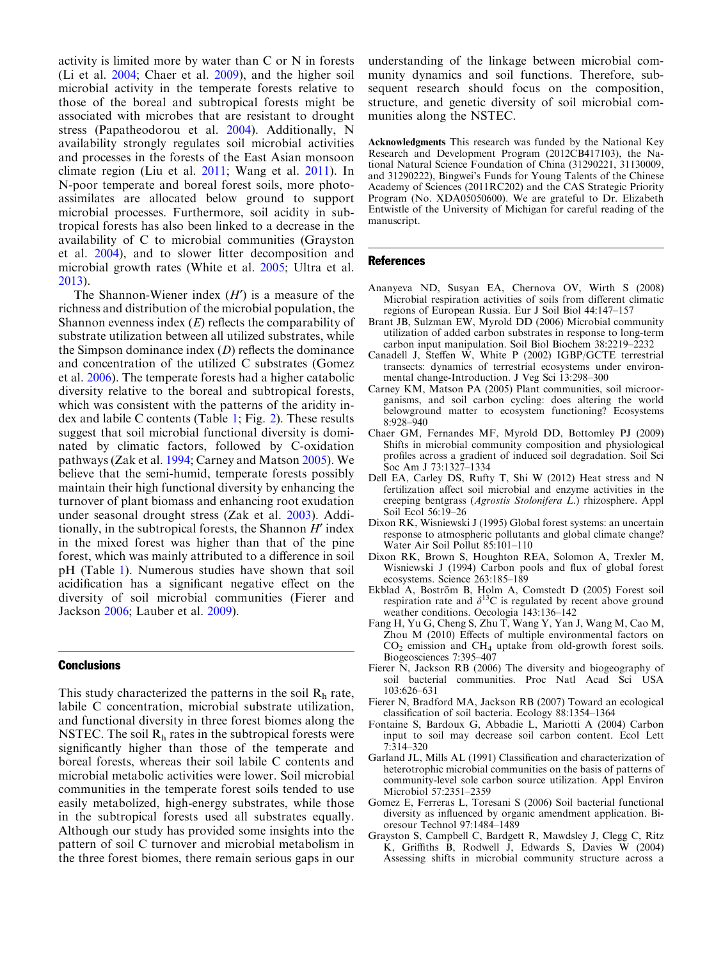<span id="page-8-0"></span>activity is limited more by water than C or N in forests (Li et al. [2004](#page-9-0); Chaer et al. 2009), and the higher soil microbial activity in the temperate forests relative to those of the boreal and subtropical forests might be associated with microbes that are resistant to drought stress (Papatheodorou et al. [2004\)](#page-9-0). Additionally, N availability strongly regulates soil microbial activities and processes in the forests of the East Asian monsoon climate region (Liu et al. [2011;](#page-9-0) Wang et al. [2011\)](#page-9-0). In N-poor temperate and boreal forest soils, more photoassimilates are allocated below ground to support microbial processes. Furthermore, soil acidity in subtropical forests has also been linked to a decrease in the availability of C to microbial communities (Grayston et al. 2004), and to slower litter decomposition and microbial growth rates (White et al. [2005;](#page-9-0) Ultra et al. [2013](#page-9-0)).

The Shannon-Wiener index  $(H')$  is a measure of the richness and distribution of the microbial population, the Shannon evenness index  $(E)$  reflects the comparability of substrate utilization between all utilized substrates, while the Simpson dominance index  $(D)$  reflects the dominance and concentration of the utilized C substrates (Gomez et al. 2006). The temperate forests had a higher catabolic diversity relative to the boreal and subtropical forests, which was consistent with the patterns of the aridity index and labile C contents (Table [1](#page-2-0); Fig. [2\)](#page-5-0). These results suggest that soil microbial functional diversity is dominated by climatic factors, followed by C-oxidation pathways (Zak et al. [1994;](#page-9-0) Carney and Matson 2005). We believe that the semi-humid, temperate forests possibly maintain their high functional diversity by enhancing the turnover of plant biomass and enhancing root exudation under seasonal drought stress (Zak et al. [2003\)](#page-9-0). Additionally, in the subtropical forests, the Shannon  $H'$  index in the mixed forest was higher than that of the pine forest, which was mainly attributed to a difference in soil pH (Table [1](#page-2-0)). Numerous studies have shown that soil acidification has a significant negative effect on the diversity of soil microbial communities (Fierer and Jackson 2006; Lauber et al. [2009](#page-9-0)).

## **Conclusions**

This study characterized the patterns in the soil  $R<sub>h</sub>$  rate, labile C concentration, microbial substrate utilization, and functional diversity in three forest biomes along the NSTEC. The soil  $R<sub>h</sub>$  rates in the subtropical forests were significantly higher than those of the temperate and boreal forests, whereas their soil labile C contents and microbial metabolic activities were lower. Soil microbial communities in the temperate forest soils tended to use easily metabolized, high-energy substrates, while those in the subtropical forests used all substrates equally. Although our study has provided some insights into the pattern of soil C turnover and microbial metabolism in the three forest biomes, there remain serious gaps in our

understanding of the linkage between microbial community dynamics and soil functions. Therefore, subsequent research should focus on the composition, structure, and genetic diversity of soil microbial communities along the NSTEC.

Acknowledgments This research was funded by the National Key Research and Development Program (2012CB417103), the National Natural Science Foundation of China (31290221, 31130009, and 31290222), Bingwei's Funds for Young Talents of the Chinese Academy of Sciences (2011RC202) and the CAS Strategic Priority Program (No. XDA05050600). We are grateful to Dr. Elizabeth Entwistle of the University of Michigan for careful reading of the manuscript.

#### References

- Ananyeva ND, Susyan EA, Chernova OV, Wirth S (2008) Microbial respiration activities of soils from different climatic regions of European Russia. Eur J Soil Biol 44:147–157
- Brant JB, Sulzman EW, Myrold DD (2006) Microbial community utilization of added carbon substrates in response to long-term carbon input manipulation. Soil Biol Biochem 38:2219–2232
- Canadell J, Steffen W, White P (2002) IGBP/GCTE terrestrial transects: dynamics of terrestrial ecosystems under environmental change-Introduction. J Veg Sci 13:298–300
- Carney KM, Matson PA (2005) Plant communities, soil microorganisms, and soil carbon cycling: does altering the world belowground matter to ecosystem functioning? Ecosystems 8:928–940
- Chaer GM, Fernandes MF, Myrold DD, Bottomley PJ (2009) Shifts in microbial community composition and physiological profiles across a gradient of induced soil degradation. Soil Sci Soc Am J 73:1327–1334
- Dell EA, Carley DS, Rufty T, Shi W (2012) Heat stress and N fertilization affect soil microbial and enzyme activities in the creeping bentgrass (Agrostis Stolonifera L.) rhizosphere. Appl Soil Ecol 56:19–26
- Dixon RK, Wisniewski J (1995) Global forest systems: an uncertain response to atmospheric pollutants and global climate change? Water Air Soil Pollut 85:101–110
- Dixon RK, Brown S, Houghton REA, Solomon A, Trexler M, Wisniewski J (1994) Carbon pools and flux of global forest ecosystems. Science 263:185–189
- Ekblad A, Boström B, Holm A, Comstedt D (2005) Forest soil respiration rate and  $\delta^{13}$ C is regulated by recent above ground weather conditions. Oecologia 143:136–142
- Fang H, Yu G, Cheng S, Zhu T, Wang Y, Yan J, Wang M, Cao M, Zhou M (2010) Effects of multiple environmental factors on  $CO<sub>2</sub>$  emission and  $CH<sub>4</sub>$  uptake from old-growth forest soils. Biogeosciences 7:395–407
- Fierer N, Jackson RB (2006) The diversity and biogeography of soil bacterial communities. Proc Natl Acad Sci USA 103:626–631
- Fierer N, Bradford MA, Jackson RB (2007) Toward an ecological classification of soil bacteria. Ecology 88:1354–1364
- Fontaine S, Bardoux G, Abbadie L, Mariotti A (2004) Carbon input to soil may decrease soil carbon content. Ecol Lett 7:314–320
- Garland JL, Mills AL (1991) Classification and characterization of heterotrophic microbial communities on the basis of patterns of community-level sole carbon source utilization. Appl Environ Microbiol 57:2351–2359
- Gomez E, Ferreras L, Toresani S (2006) Soil bacterial functional diversity as influenced by organic amendment application. Bioresour Technol 97:1484–1489
- Grayston S, Campbell C, Bardgett R, Mawdsley J, Clegg C, Ritz K, Griffiths B, Rodwell J, Edwards S, Davies W (2004) Assessing shifts in microbial community structure across a